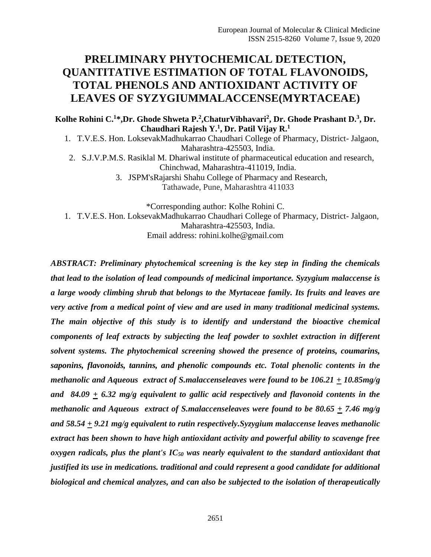# **PRELIMINARY PHYTOCHEMICAL DETECTION, QUANTITATIVE ESTIMATION OF TOTAL FLAVONOIDS, TOTAL PHENOLS AND ANTIOXIDANT ACTIVITY OF LEAVES OF SYZYGIUMMALACCENSE(MYRTACEAE)**

#### **Kolhe Rohini C.<sup>1</sup>\*,Dr. Ghode Shweta P.<sup>2</sup> ,ChaturVibhavari<sup>2</sup> , Dr. Ghode Prashant D.<sup>3</sup> , Dr. Chaudhari Rajesh Y.<sup>1</sup> , Dr. Patil Vijay R.<sup>1</sup>**

1. T.V.E.S. Hon. LoksevakMadhukarrao Chaudhari College of Pharmacy, District- Jalgaon, Maharashtra-425503, India.

2. S.J.V.P.M.S. Rasiklal M. Dhariwal institute of pharmaceutical education and research, Chinchwad, Maharashtra-411019, India. 3. JSPM'sRajarshi Shahu College of Pharmacy and Research,

Tathawade, Pune, Maharashtra 411033

\*Corresponding author: Kolhe Rohini C. 1. T.V.E.S. Hon. LoksevakMadhukarrao Chaudhari College of Pharmacy, District- Jalgaon, Maharashtra-425503, India. Email address: rohini.kolhe@gmail.com

*ABSTRACT: Preliminary phytochemical screening is the key step in finding the chemicals that lead to the isolation of lead compounds of medicinal importance. Syzygium malaccense is a large woody climbing shrub that belongs to the Myrtaceae family. Its fruits and leaves are very active from a medical point of view and are used in many traditional medicinal systems. The main objective of this study is to identify and understand the bioactive chemical components of leaf extracts by subjecting the leaf powder to soxhlet extraction in different solvent systems. The phytochemical screening showed the presence of proteins, coumarins, saponins, flavonoids, tannins, and phenolic compounds etc. Total phenolic contents in the methanolic and Aqueous extract of S.malaccenseleaves were found to be 106.21 + 10.85mg/g and 84.09 + 6.32 mg/g equivalent to gallic acid respectively and flavonoid contents in the methanolic and Aqueous extract of S.malaccenseleaves were found to be 80.65 + 7.46 mg/g and 58.54 + 9.21 mg/g equivalent to rutin respectively.Syzygium malaccense leaves methanolic extract has been shown to have high antioxidant activity and powerful ability to scavenge free oxygen radicals, plus the plant's IC<sup>50</sup> was nearly equivalent to the standard antioxidant that justified its use in medications. traditional and could represent a good candidate for additional biological and chemical analyzes, and can also be subjected to the isolation of therapeutically*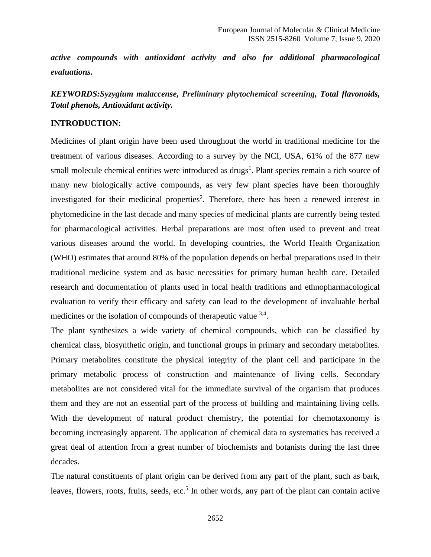*active compounds with antioxidant activity and also for additional pharmacological evaluations.*

*KEYWORDS:Syzygium malaccense, Preliminary phytochemical screening, Total flavonoids, Total phenols, Antioxidant activity.*

#### **INTRODUCTION:**

Medicines of plant origin have been used throughout the world in traditional medicine for the treatment of various diseases. According to a survey by the NCI, USA, 61% of the 877 new small molecule chemical entities were introduced as drugs<sup>1</sup>. Plant species remain a rich source of many new biologically active compounds, as very few plant species have been thoroughly investigated for their medicinal properties<sup>2</sup>. Therefore, there has been a renewed interest in phytomedicine in the last decade and many species of medicinal plants are currently being tested for pharmacological activities. Herbal preparations are most often used to prevent and treat various diseases around the world. In developing countries, the World Health Organization (WHO) estimates that around 80% of the population depends on herbal preparations used in their traditional medicine system and as basic necessities for primary human health care. Detailed research and documentation of plants used in local health traditions and ethnopharmacological evaluation to verify their efficacy and safety can lead to the development of invaluable herbal medicines or the isolation of compounds of therapeutic value <sup>3,4</sup>.

The plant synthesizes a wide variety of chemical compounds, which can be classified by chemical class, biosynthetic origin, and functional groups in primary and secondary metabolites. Primary metabolites constitute the physical integrity of the plant cell and participate in the primary metabolic process of construction and maintenance of living cells. Secondary metabolites are not considered vital for the immediate survival of the organism that produces them and they are not an essential part of the process of building and maintaining living cells. With the development of natural product chemistry, the potential for chemotaxonomy is becoming increasingly apparent. The application of chemical data to systematics has received a great deal of attention from a great number of biochemists and botanists during the last three decades.

The natural constituents of plant origin can be derived from any part of the plant, such as bark, leaves, flowers, roots, fruits, seeds, etc.<sup>5</sup> In other words, any part of the plant can contain active

2652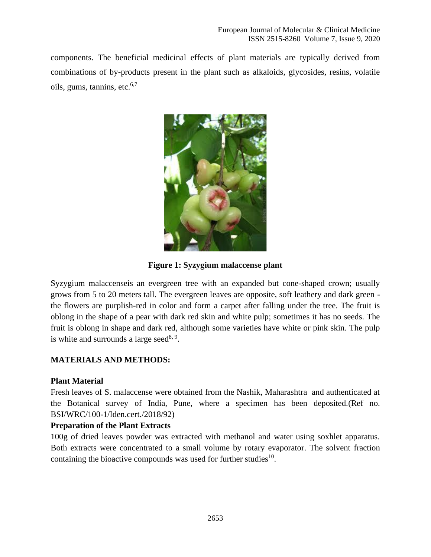components. The beneficial medicinal effects of plant materials are typically derived from combinations of by-products present in the plant such as alkaloids, glycosides, resins, volatile oils, gums, tannins, etc. $6,7$ 



**Figure 1: Syzygium malaccense plant**

Syzygium malaccenseis an evergreen tree with an expanded but cone-shaped crown; usually grows from 5 to 20 meters tall. The evergreen leaves are opposite, soft leathery and dark green the flowers are purplish-red in color and form a carpet after falling under the tree. The fruit is oblong in the shape of a pear with dark red skin and white pulp; sometimes it has no seeds. The fruit is oblong in shape and dark red, although some varieties have white or pink skin. The pulp is white and surrounds a large seed $8,9$ .

## **MATERIALS AND METHODS:**

## **Plant Material**

Fresh leaves of S. malaccense were obtained from the Nashik, Maharashtra and authenticated at the Botanical survey of India, Pune, where a specimen has been deposited.(Ref no. BSI/WRC/100-1/Iden.cert./2018/92)

#### **Preparation of the Plant Extracts**

100g of dried leaves powder was extracted with methanol and water using soxhlet apparatus. Both extracts were concentrated to a small volume by rotary evaporator. The solvent fraction containing the bioactive compounds was used for further studies $10$ .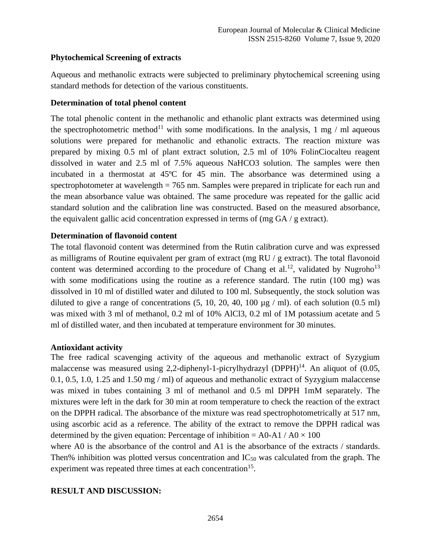## **Phytochemical Screening of extracts**

Aqueous and methanolic extracts were subjected to preliminary phytochemical screening using standard methods for detection of the various constituents.

### **Determination of total phenol content**

The total phenolic content in the methanolic and ethanolic plant extracts was determined using the spectrophotometric method<sup>11</sup> with some modifications. In the analysis, 1 mg / ml aqueous solutions were prepared for methanolic and ethanolic extracts. The reaction mixture was prepared by mixing 0.5 ml of plant extract solution, 2.5 ml of 10% FolinCiocalteu reagent dissolved in water and 2.5 ml of 7.5% aqueous NaHCO3 solution. The samples were then incubated in a thermostat at 45ºC for 45 min. The absorbance was determined using a spectrophotometer at wavelength = 765 nm. Samples were prepared in triplicate for each run and the mean absorbance value was obtained. The same procedure was repeated for the gallic acid standard solution and the calibration line was constructed. Based on the measured absorbance, the equivalent gallic acid concentration expressed in terms of (mg  $GA / g$  extract).

### **Determination of flavonoid content**

The total flavonoid content was determined from the Rutin calibration curve and was expressed as milligrams of Routine equivalent per gram of extract (mg RU / g extract). The total flavonoid content was determined according to the procedure of Chang et al.<sup>12</sup>, validated by Nugroho<sup>13</sup> with some modifications using the routine as a reference standard. The rutin (100 mg) was dissolved in 10 ml of distilled water and diluted to 100 ml. Subsequently, the stock solution was diluted to give a range of concentrations  $(5, 10, 20, 40, 100 \mu g / ml)$ . of each solution  $(0.5 ml)$ was mixed with 3 ml of methanol, 0.2 ml of 10% AlCl3, 0.2 ml of 1M potassium acetate and 5 ml of distilled water, and then incubated at temperature environment for 30 minutes.

#### **Antioxidant activity**

The free radical scavenging activity of the aqueous and methanolic extract of Syzygium malaccense was measured using 2.2-diphenyl-1-picrylhydrazyl (DPPH)<sup>14</sup>. An aliquot of  $(0.05, 0.05)$ 0.1, 0.5, 1.0, 1.25 and 1.50 mg / ml) of aqueous and methanolic extract of Syzygium malaccense was mixed in tubes containing 3 ml of methanol and 0.5 ml DPPH 1mM separately. The mixtures were left in the dark for 30 min at room temperature to check the reaction of the extract on the DPPH radical. The absorbance of the mixture was read spectrophotometrically at 517 nm, using ascorbic acid as a reference. The ability of the extract to remove the DPPH radical was determined by the given equation: Percentage of inhibition =  $A0-A1/A0 \times 100$ 

where A0 is the absorbance of the control and A1 is the absorbance of the extracts / standards. Then% inhibition was plotted versus concentration and  $IC_{50}$  was calculated from the graph. The experiment was repeated three times at each concentration<sup>15</sup>.

## **RESULT AND DISCUSSION:**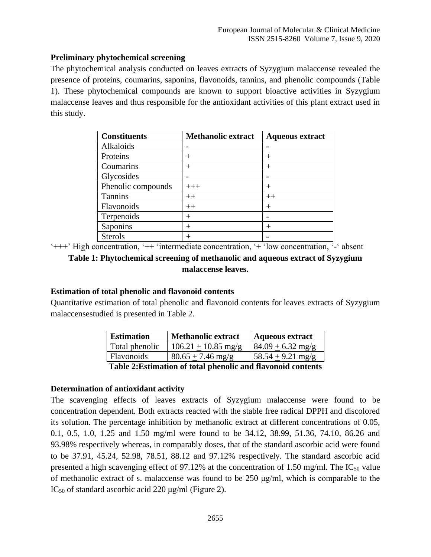## **Preliminary phytochemical screening**

The phytochemical analysis conducted on leaves extracts of Syzygium malaccense revealed the presence of proteins, coumarins, saponins, flavonoids, tannins, and phenolic compounds (Table 1). These phytochemical compounds are known to support bioactive activities in Syzygium malaccense leaves and thus responsible for the antioxidant activities of this plant extract used in this study.

| <b>Constituents</b> | <b>Methanolic extract</b> | <b>Aqueous extract</b> |
|---------------------|---------------------------|------------------------|
| Alkaloids           | $\overline{\phantom{0}}$  |                        |
| Proteins            | $^{+}$                    | $^{+}$                 |
| Coumarins           | $^{+}$                    | $\,+\,$                |
| Glycosides          | $\overline{\phantom{0}}$  |                        |
| Phenolic compounds  | $+++$                     | $^{+}$                 |
| <b>Tannins</b>      | $++$                      | $++$                   |
| Flavonoids          | $++$                      | $\,+\,$                |
| Terpenoids          | $\pm$                     |                        |
| Saponins            | $^{+}$                    | $^{+}$                 |
| <b>Sterols</b>      | $\,^+$                    |                        |

'+++' High concentration, '++ 'intermediate concentration, '+ 'low concentration, '-' absent

## **Table 1: Phytochemical screening of methanolic and aqueous extract of Syzygium malaccense leaves.**

#### **Estimation of total phenolic and flavonoid contents**

Quantitative estimation of total phenolic and flavonoid contents for leaves extracts of Syzygium malaccensestudied is presented in Table 2.

| <b>Estimation</b> | <b>Methanolic extract</b> | <b>Aqueous extract</b> |
|-------------------|---------------------------|------------------------|
| Total phenolic    | $106.21 + 10.85$ mg/g     | $84.09 + 6.32$ mg/g    |
| <b>Flavonoids</b> | $80.65 + 7.46$ mg/g       | $58.54 + 9.21$ mg/g    |

**Table 2:Estimation of total phenolic and flavonoid contents**

#### **Determination of antioxidant activity**

The scavenging effects of leaves extracts of Syzygium malaccense were found to be concentration dependent. Both extracts reacted with the stable free radical DPPH and discolored its solution. The percentage inhibition by methanolic extract at different concentrations of 0.05, 0.1, 0.5, 1.0, 1.25 and 1.50 mg/ml were found to be 34.12, 38.99, 51.36, 74.10, 86.26 and 93.98% respectively whereas, in comparably doses, that of the standard ascorbic acid were found to be 37.91, 45.24, 52.98, 78.51, 88.12 and 97.12% respectively. The standard ascorbic acid presented a high scavenging effect of 97.12% at the concentration of 1.50 mg/ml. The  $IC_{50}$  value of methanolic extract of s. malaccense was found to be 250 μg/ml, which is comparable to the IC<sup>50</sup> of standard ascorbic acid 220 μg/ml (Figure 2).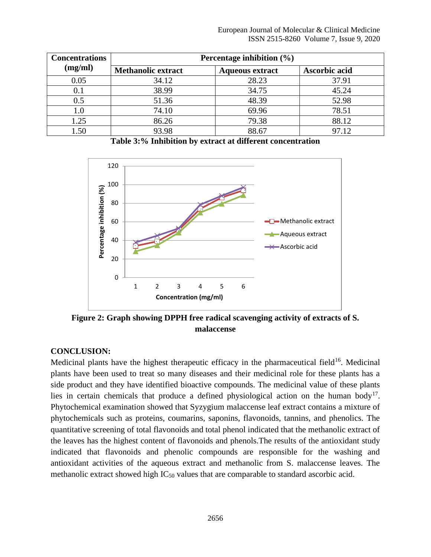| <b>Concentrations</b> | Percentage inhibition (%) |                        |               |  |
|-----------------------|---------------------------|------------------------|---------------|--|
| (mg/ml)               | <b>Methanolic extract</b> | <b>Aqueous extract</b> | Ascorbic acid |  |
| 0.05                  | 34.12                     | 28.23                  | 37.91         |  |
| 0.1                   | 38.99                     | 34.75                  | 45.24         |  |
| 0.5                   | 51.36                     | 48.39                  | 52.98         |  |
| 1.0                   | 74.10                     | 69.96                  | 78.51         |  |
| 1.25                  | 86.26                     | 79.38                  | 88.12         |  |
| 1.50                  | 93.98                     | 88.67                  | 97.12         |  |

**Table 3:% Inhibition by extract at different concentration**



**Figure 2: Graph showing DPPH free radical scavenging activity of extracts of S. malaccense**

#### **CONCLUSION:**

Medicinal plants have the highest therapeutic efficacy in the pharmaceutical field $16$ . Medicinal plants have been used to treat so many diseases and their medicinal role for these plants has a side product and they have identified bioactive compounds. The medicinal value of these plants lies in certain chemicals that produce a defined physiological action on the human body<sup>17</sup>. Phytochemical examination showed that Syzygium malaccense leaf extract contains a mixture of phytochemicals such as proteins, coumarins, saponins, flavonoids, tannins, and phenolics. The quantitative screening of total flavonoids and total phenol indicated that the methanolic extract of the leaves has the highest content of flavonoids and phenols.The results of the antioxidant study indicated that flavonoids and phenolic compounds are responsible for the washing and antioxidant activities of the aqueous extract and methanolic from S. malaccense leaves. The methanolic extract showed high  $IC_{50}$  values that are comparable to standard ascorbic acid.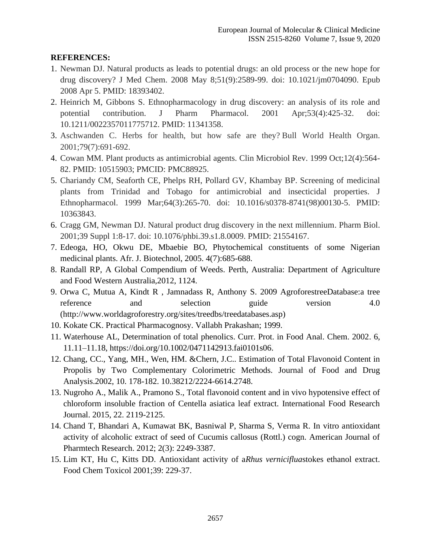## **REFERENCES:**

- 1. Newman DJ. Natural products as leads to potential drugs: an old process or the new hope for drug discovery? J Med Chem. 2008 May 8;51(9):2589-99. doi: 10.1021/jm0704090. Epub 2008 Apr 5. PMID: 18393402.
- 2. Heinrich M, Gibbons S. Ethnopharmacology in drug discovery: an analysis of its role and potential contribution. J Pharm Pharmacol. 2001 Apr;53(4):425-32. doi: 10.1211/0022357011775712. PMID: 11341358.
- 3. Aschwanden C. Herbs for health, but how safe are they? Bull World Health Organ. 2001;79(7):691-692.
- 4. Cowan MM. Plant products as antimicrobial agents. Clin Microbiol Rev. 1999 Oct;12(4):564- 82. PMID: 10515903; PMCID: PMC88925.
- 5. Chariandy CM, Seaforth CE, Phelps RH, Pollard GV, Khambay BP. Screening of medicinal plants from Trinidad and Tobago for antimicrobial and insecticidal properties. J Ethnopharmacol. 1999 Mar;64(3):265-70. doi: 10.1016/s0378-8741(98)00130-5. PMID: 10363843.
- 6. Cragg GM, Newman DJ. Natural product drug discovery in the next millennium. Pharm Biol. 2001;39 Suppl 1:8-17. doi: 10.1076/phbi.39.s1.8.0009. PMID: 21554167.
- 7. Edeoga, HO, Okwu DE, Mbaebie BO, Phytochemical constituents of some Nigerian medicinal plants. Afr. J. Biotechnol, 2005. 4(7):685-688.
- 8. Randall RP, A Global Compendium of Weeds. Perth, Australia: Department of Agriculture and Food Western Australia,2012, 1124.
- 9. Orwa C, Mutua A, Kindt R , Jamnadass R, Anthony S. 2009 AgroforestreeDatabase:a tree reference and selection guide version 4.0 (http://www.worldagroforestry.org/sites/treedbs/treedatabases.asp)
- 10. Kokate CK. Practical Pharmacognosy. Vallabh Prakashan; 1999.
- 11. Waterhouse AL, Determination of total phenolics. Curr. Prot. in Food Anal. Chem. 2002. 6, 11.11–11.18, [https://doi.org/10.1002/0471142913.fai0101s06.](https://doi.org/10.1002/0471142913.fai0101s06)
- 12. Chang, CC., Yang, MH., Wen, HM. &Chern, J.C.. Estimation of Total Flavonoid Content in Propolis by Two Complementary Colorimetric Methods. Journal of Food and Drug Analysis.2002, 10. 178-182. 10.38212/2224-6614.2748.
- 13. Nugroho A., Malik A., Pramono S., Total flavonoid content and in vivo hypotensive effect of chloroform insoluble fraction of Centella asiatica leaf extract. International Food Research Journal. 2015, 22. 2119-2125.
- 14. Chand T, Bhandari A, Kumawat BK, Basniwal P, Sharma S, Verma R. In vitro antioxidant activity of alcoholic extract of seed of Cucumis callosus (Rottl.) cogn. American Journal of Pharmtech Research. 2012; 2(3): 2249-3387.
- 15. Lim KT, Hu C, Kitts DD. Antioxidant activity of a*Rhus verniciflua*stokes ethanol extract. Food Chem Toxicol 2001;39: 229-37.